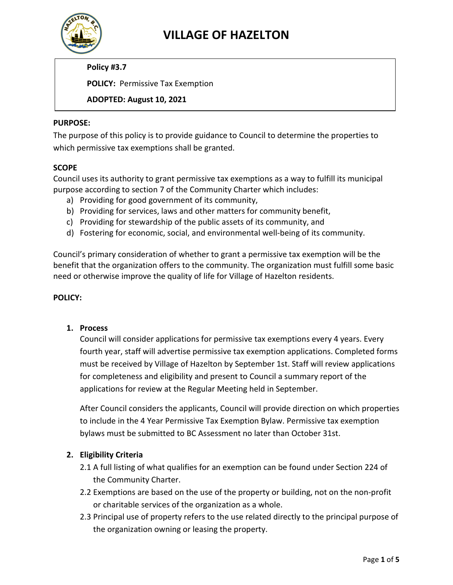

## **VILLAGE OF HAZELTON**

**Policy #3.7**

**POLICY:** Permissive Tax Exemption

**ADOPTED: August 10, 2021**

#### **PURPOSE:**

The purpose of this policy is to provide guidance to Council to determine the properties to which permissive tax exemptions shall be granted.

#### **SCOPE**

Council uses its authority to grant permissive tax exemptions as a way to fulfill its municipal purpose according to section 7 of the Community Charter which includes:

- a) Providing for good government of its community,
- b) Providing for services, laws and other matters for community benefit,
- c) Providing for stewardship of the public assets of its community, and
- d) Fostering for economic, social, and environmental well-being of its community.

Council's primary consideration of whether to grant a permissive tax exemption will be the benefit that the organization offers to the community. The organization must fulfill some basic need or otherwise improve the quality of life for Village of Hazelton residents.

#### **POLICY:**

#### **1. Process**

Council will consider applications for permissive tax exemptions every 4 years. Every fourth year, staff will advertise permissive tax exemption applications. Completed forms must be received by Village of Hazelton by September 1st. Staff will review applications for completeness and eligibility and present to Council a summary report of the applications for review at the Regular Meeting held in September.

After Council considers the applicants, Council will provide direction on which properties to include in the 4 Year Permissive Tax Exemption Bylaw. Permissive tax exemption bylaws must be submitted to BC Assessment no later than October 31st.

#### **2. Eligibility Criteria**

- 2.1 A full listing of what qualifies for an exemption can be found under Section 224 of the Community Charter.
- 2.2 Exemptions are based on the use of the property or building, not on the non-profit or charitable services of the organization as a whole.
- 2.3 Principal use of property refers to the use related directly to the principal purpose of the organization owning or leasing the property.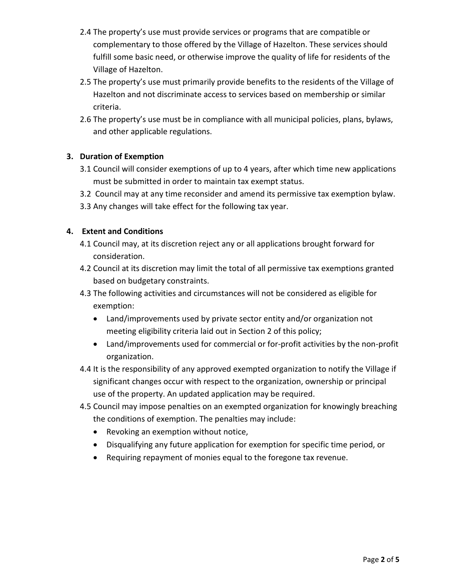- 2.4 The property's use must provide services or programs that are compatible or complementary to those offered by the Village of Hazelton. These services should fulfill some basic need, or otherwise improve the quality of life for residents of the Village of Hazelton.
- 2.5 The property's use must primarily provide benefits to the residents of the Village of Hazelton and not discriminate access to services based on membership or similar criteria.
- 2.6 The property's use must be in compliance with all municipal policies, plans, bylaws, and other applicable regulations.

### **3. Duration of Exemption**

- 3.1 Council will consider exemptions of up to 4 years, after which time new applications must be submitted in order to maintain tax exempt status.
- 3.2 Council may at any time reconsider and amend its permissive tax exemption bylaw.
- 3.3 Any changes will take effect for the following tax year.

#### **4. Extent and Conditions**

- 4.1 Council may, at its discretion reject any or all applications brought forward for consideration.
- 4.2 Council at its discretion may limit the total of all permissive tax exemptions granted based on budgetary constraints.
- 4.3 The following activities and circumstances will not be considered as eligible for exemption:
	- Land/improvements used by private sector entity and/or organization not meeting eligibility criteria laid out in Section 2 of this policy;
	- Land/improvements used for commercial or for-profit activities by the non-profit organization.
- 4.4 It is the responsibility of any approved exempted organization to notify the Village if significant changes occur with respect to the organization, ownership or principal use of the property. An updated application may be required.
- 4.5 Council may impose penalties on an exempted organization for knowingly breaching the conditions of exemption. The penalties may include:
	- Revoking an exemption without notice,
	- Disqualifying any future application for exemption for specific time period, or
	- Requiring repayment of monies equal to the foregone tax revenue.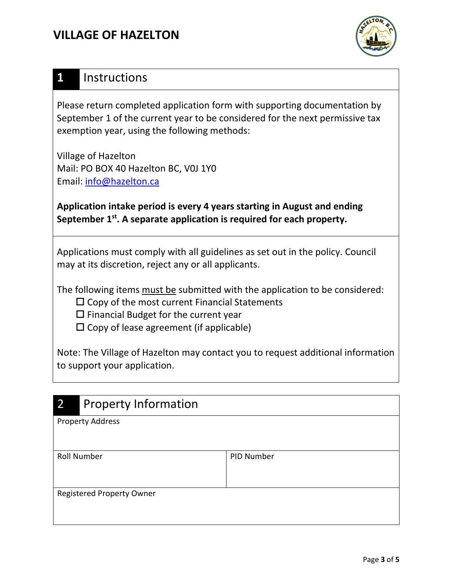## **VILLAGE OF HAZELTON**



## **1** Instructions

Please return completed application form with supporting documentation by September 1 of the current year to be considered for the next permissive tax exemption year, using the following methods:

Village of Hazelton Mail: PO BOX 40 Hazelton BC, V0J 1Y0 Email: [info@hazelton.ca](mailto:info@hazelton.ca)

**Application intake period is every 4 years starting in August and ending**  September 1<sup>st</sup>. A separate application is required for each property.

Applications must comply with all guidelines as set out in the policy. Council may at its discretion, reject any or all applicants.

The following items must be submitted with the application to be considered:

- $\square$  Copy of the most current Financial Statements
- $\square$  Financial Budget for the current year
- $\square$  Copy of lease agreement (if applicable)

Note: The Village of Hazelton may contact you to request additional information to support your application.

| $\overline{2}$                   | <b>Property Information</b> |            |  |
|----------------------------------|-----------------------------|------------|--|
|                                  | <b>Property Address</b>     |            |  |
|                                  |                             |            |  |
|                                  |                             |            |  |
|                                  | <b>Roll Number</b>          | PID Number |  |
|                                  |                             |            |  |
|                                  |                             |            |  |
| <b>Registered Property Owner</b> |                             |            |  |
|                                  |                             |            |  |
|                                  |                             |            |  |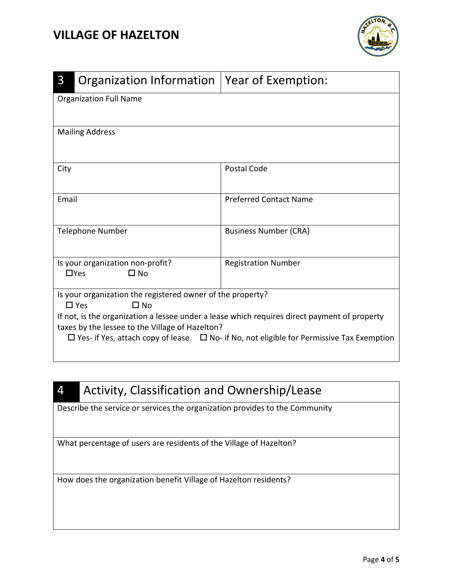## **VILLAGE OF HAZELTON**



| $\mathsf{3}$                                                                                                                                                                                                                                                                                                                                        | Organization Information                                       | Year of Exemption:            |  |  |
|-----------------------------------------------------------------------------------------------------------------------------------------------------------------------------------------------------------------------------------------------------------------------------------------------------------------------------------------------------|----------------------------------------------------------------|-------------------------------|--|--|
|                                                                                                                                                                                                                                                                                                                                                     | <b>Organization Full Name</b>                                  |                               |  |  |
| <b>Mailing Address</b>                                                                                                                                                                                                                                                                                                                              |                                                                |                               |  |  |
| City                                                                                                                                                                                                                                                                                                                                                |                                                                | Postal Code                   |  |  |
| Email                                                                                                                                                                                                                                                                                                                                               |                                                                | <b>Preferred Contact Name</b> |  |  |
|                                                                                                                                                                                                                                                                                                                                                     | <b>Telephone Number</b>                                        | <b>Business Number (CRA)</b>  |  |  |
|                                                                                                                                                                                                                                                                                                                                                     | Is your organization non-profit?<br>$\Box$ Yes<br>$\square$ No | <b>Registration Number</b>    |  |  |
| Is your organization the registered owner of the property?<br>$\square$ Yes<br>$\Box$ No<br>If not, is the organization a lessee under a lease which requires direct payment of property<br>taxes by the lessee to the Village of Hazelton?<br>$\Box$ Yes- if Yes, attach copy of lease $\Box$ No- if No, not eligible for Permissive Tax Exemption |                                                                |                               |  |  |

## 4 Activity, Classification and Ownership/Lease

Describe the service or services the organization provides to the Community

What percentage of users are residents of the Village of Hazelton?

How does the organization benefit Village of Hazelton residents?